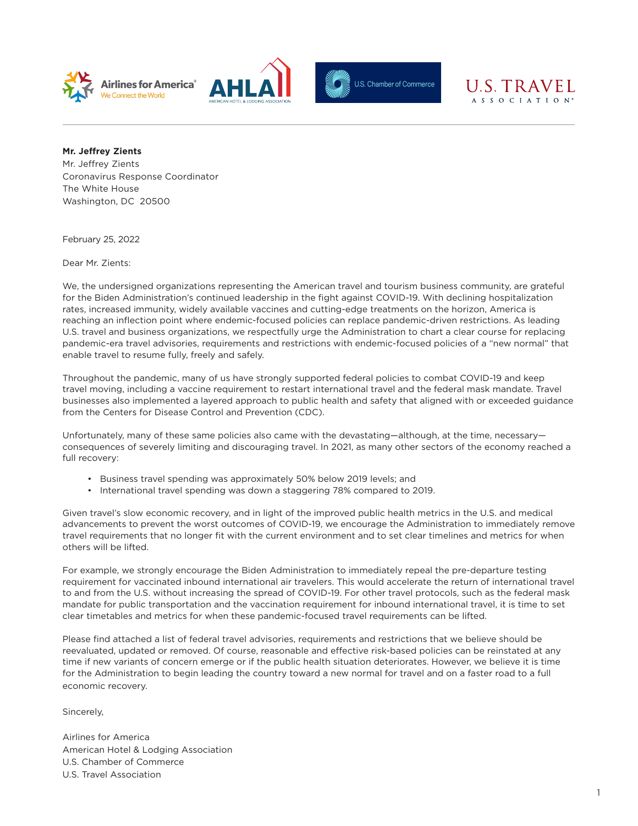





## U.S. TRAVEL A S S O C I A T I O N<sup>®</sup>

**Mr. Jeffrey Zients**

Mr. Jeffrey Zients Coronavirus Response Coordinator The White House Washington, DC 20500

February 25, 2022

Dear Mr. Zients:

We, the undersigned organizations representing the American travel and tourism business community, are grateful for the Biden Administration's continued leadership in the fight against COVID-19. With declining hospitalization rates, increased immunity, widely available vaccines and cutting-edge treatments on the horizon, America is reaching an inflection point where endemic-focused policies can replace pandemic-driven restrictions. As leading U.S. travel and business organizations, we respectfully urge the Administration to chart a clear course for replacing pandemic-era travel advisories, requirements and restrictions with endemic-focused policies of a "new normal" that enable travel to resume fully, freely and safely.

Throughout the pandemic, many of us have strongly supported federal policies to combat COVID-19 and keep travel moving, including a vaccine requirement to restart international travel and the federal mask mandate. Travel businesses also implemented a layered approach to public health and safety that aligned with or exceeded guidance from the Centers for Disease Control and Prevention (CDC).

Unfortunately, many of these same policies also came with the devastating—although, at the time, necessary consequences of severely limiting and discouraging travel. In 2021, as many other sectors of the economy reached a full recovery:

- Business travel spending was approximately 50% below 2019 levels; and
- International travel spending was down a staggering 78% compared to 2019.

Given travel's slow economic recovery, and in light of the improved public health metrics in the U.S. and medical advancements to prevent the worst outcomes of COVID-19, we encourage the Administration to immediately remove travel requirements that no longer fit with the current environment and to set clear timelines and metrics for when others will be lifted.

For example, we strongly encourage the Biden Administration to immediately repeal the pre-departure testing requirement for vaccinated inbound international air travelers. This would accelerate the return of international travel to and from the U.S. without increasing the spread of COVID-19. For other travel protocols, such as the federal mask mandate for public transportation and the vaccination requirement for inbound international travel, it is time to set clear timetables and metrics for when these pandemic-focused travel requirements can be lifted.

Please find attached a list of federal travel advisories, requirements and restrictions that we believe should be reevaluated, updated or removed. Of course, reasonable and effective risk-based policies can be reinstated at any time if new variants of concern emerge or if the public health situation deteriorates. However, we believe it is time for the Administration to begin leading the country toward a new normal for travel and on a faster road to a full economic recovery.

Sincerely,

Airlines for America American Hotel & Lodging Association U.S. Chamber of Commerce U.S. Travel Association